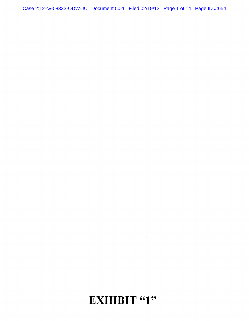### **EXHIBIT "1"**

Case 2:12-cv-08333-ODW-JC Document 50-1 Filed 02/19/13 Page 1 of 14 Page ID #:654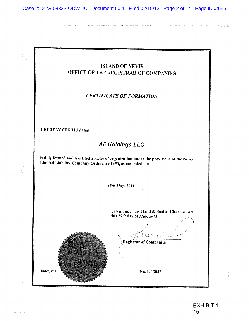Case 2:12-cv-08333-ODW-JC Document 50-1 Filed 02/19/13 Page 2 of 14 Page ID #:655

 $\begin{bmatrix} 1 \\ 1 \\ 1 \\ 1 \\ 1 \end{bmatrix}$ 

 $\begin{pmatrix} 1 & 0 & 0 \\ 0 & 0 & 0 \\ 0 & 0 & 0 \\ 0 & 0 & 0 \end{pmatrix}$ 

 $\int\limits_{-\infty}^{\infty} \frac{e^{-\lambda t}}{t}dt$ 

|                                                          | <b>ISLAND OF NEVIS</b><br>OFFICE OF THE REGISTRAR OF COMPANIES                          |
|----------------------------------------------------------|-----------------------------------------------------------------------------------------|
|                                                          | <b>CERTIFICATE OF FORMATION</b>                                                         |
| I HEREBY CERTIFY that                                    |                                                                                         |
| <b>AF Holdings LLC</b>                                   |                                                                                         |
| Limited Liability Company Ordinance 1995, as amended, on | is duly formed and has filed articles of organization under the provisions of the Nevis |
|                                                          | 19th May, 2011                                                                          |
|                                                          | Given under my Hand & Seal at Charlestown<br>this 19th day of May, 2011                 |
|                                                          | Registrar of Companies                                                                  |
| hMc5jWXL                                                 | No. L 13042                                                                             |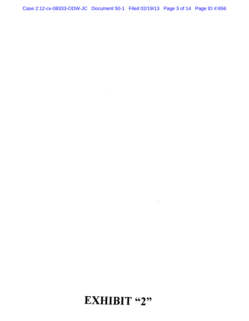Case 2:12-cv-08333-ODW-JC Document 50-1 Filed 02/19/13 Page 3 of 14 Page ID #:656

 $\label{eq:3.1} \Psi_{\alpha\beta} = \frac{1}{\alpha} \sum_{\alpha\beta} \left( \frac{1}{\alpha} \sum_{\alpha\beta} \frac{1}{\alpha} \left( \frac{1}{\alpha} \sum_{\alpha\beta} \frac{1}{\alpha} \right) \right) \left( \frac{1}{\alpha} \sum_{\alpha\beta} \frac{1}{\alpha} \right) \left( \frac{1}{\alpha} \sum_{\alpha\beta} \frac{1}{\alpha} \right) \left( \frac{1}{\alpha} \sum_{\alpha\beta} \frac{1}{\alpha} \right) \left( \frac{1}{\alpha} \sum_{\alpha\beta} \frac{1}{\alpha} \right) \left( \frac{$ 

# EXHIBIT "2"

 $\label{eq:2} \frac{1}{\sqrt{2}}\int_{0}^{\infty}\frac{1}{\sqrt{2\pi}}\left(\frac{1}{\sqrt{2\pi}}\right)^{2}d\mu\,d\mu\,.$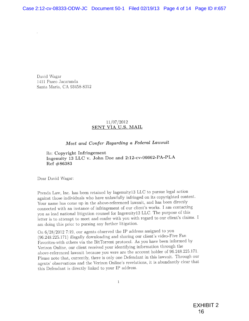David Wagar 1411 Paseo Jacaranda Santa Maria, CA 93458-8312

#### 11/07/2012 SENT VIA U.S. MAIL

### *Meet and Confer Regarding a Federal Lawsuit*

Re: Copyright Infringement Ingenuity 13 LLC v. John Doe and 2:12-cv-06662-PA-PLA **Ref** #86383

Dear David Wagar:

Prenda Law, Inc. has been retained by Ingenuityl3 LLC to pursue legal action against those individuals who have unlawfully infringed on its copyrighted content. Your name has come up in the above-referenced lawsuit, and has been directly connected with an instance of infringement of our client's works. I am contacting you as lead national litigation counsel for Ingenuityl3 LLC. The purpose of this letter is to attempt to meet and confer with you with regard to our client's claims. I am doing this prior to pursing any further litigation.

On 6/28/2012 7:19, our agents observed the IP address assigned to you (96.248.225.171) illegally downloading and sharing our client's video-Five Fan Favorites-with others via the BitTorrent protocol. As you have been informed by Verizon Online, our client received your identifying information through the above-referenced lawsuit because you were are the account holder of 96.248.225.171. Please note that, currently, there is only one Defendant in this lawsuit. Through our agents' observations and the Verizon Online's revelations, it is abundantly clear that this Defendant is directly linked to your IP address.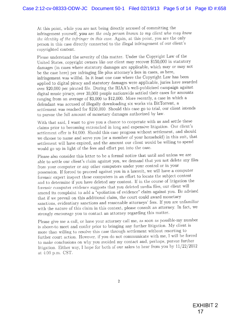At this point, while you are not being directly accused of committing the infringement yourself, you are *the only person known io my client who may know the identity of the infringer in this case.* Again, at this point, you are the only person in this case directly connected to the illegal infringement of our client's copyrighted content.

Please understand the severity of this matter. Under the Copyright Law of the United States, copyright owners like our client may recover \$150,000 in statutory damages (in cases where statutory damages are applicable, which may or may not be the case here) per infringing file plus attorney's fees in cases, as here, infringement was willful. In it least one case where the Copyright Law has been applied to digital piracy and statutory damages were applicable, juries have awarded over \$20,000 per pirated file. During the RIAA's well-publicized campaign against, digital music piracy, over 30,000 people nationwide settled their cases for amounts ranging from an average of \$3,000 to \$12,000. More recently, a case in which a defendant was accused of illegally downloading six works via BitTorrent, a settlement was reached for \$250,000. Should this case go to trial, our client intends to pursue the full amount of monetary damages authorized by law.

With that said, I want to give you a chance to cooperate with us and settle these claims prior to becoming entrenched in long and expensive litigation. Our client's settlement offer is \$4,000. Should this case progress without settlement, and should we choose to name and serve you (or a member of your household) in this suit, that settlement will have expired, and the amount our client would be willing to spend would go up in light of the fees and effort put into the case.

Please also consider this letter to be a formal notice that until and unless we are able to settle our client's claim against you, we demand that you not delete any files from your computer or any other computers under your control or in your possession. If forced to proceed against you in a lawsuit, we will have a computer forensic expert inspect these computers in an effort to locate the subject content and to determine if you have deleted any content. If in the course of litigation the forensic computer evidence suggests that you deleted media files, our client will amend its complaint to add a "spoliation of evidence' claim against you. Be advised that if we prevail on this additional claim, the court could award monetary sanctions, evidentiary sanctions and reasonable attorneys' fees. If you are unfamiliar with the nature of this claim in this context, please consult an attorney. In fact, we strongly encourage you to contact an attorney regarding this matter.

Please give me a call, or have your attorney call me, as soon as possible-my number is above-to meet and confer prior to bringing any further litigation. My client is more than willing to resolve this case through settlement without resorting to further court action. However, if you do not communicate with me, I will be forced to make conclusions on why you avoided my contact and, perhaps, pursue further litigation. Either way, I hope for both of our sakes to hear from you by 11/22/2012 at 4:00 p.m. CST.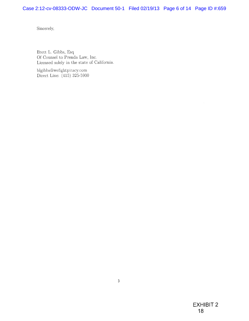Sincerely,

Brett L. Gibbs, Esq Of Counsel to Prenda Law, Inc. Licensed solely in the state of California.

blgibbs@wefightpiracy.com Direct Line: (415) 325-5900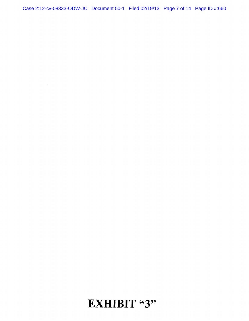Case 2:12-cv-08333-ODW-JC Document 50-1 Filed 02/19/13 Page 7 of 14 Page ID #:660

 $\sim$   $\sim$ 

### **EXHIBIT "3"**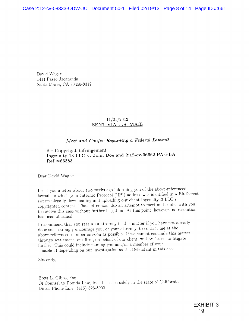David Wagar 1411 Paseo Jacaranda Santa Maria, CA 93458-8312

### 11/21/2012 SENT VIA U.S. MAIL

### *Meet and Confer Regarding a Federal Lawsuit*

Re: Copyright Infringement Ingenuity 13 LLC v. John Doe and 2:12-cv-06662-PA-PLA  $Ref$  #86383

Dear David Wagar:

1 sent you a letter about two weeks ago informing you of the above-referenced lawsuit in which your Internet Protocol ("IP") address was identified in a BitTorrent swarm illegally downloading and uploading our client Ingenuity 13 LLC's copyrighted content. That letter was also an attempt to meet and confer with you to resolve this case without further litigation. At this point, however, no resolution has been obtained.

I recommend that you retain an attorney in this matter if you have not already done so. I strongly encourage you, or your attorney, to contact me at the above-referenced number as soon as possible. If we cannot conclude this matter through settlement, our firm, on behalf of our client, will be forced to litigate further. This could include naming you and/or a member of your household-depending on our investigation-as the Defendant in this case.

Sincerely,

Brett L. Gibbs, Esq Of Counsel to Prenda Law, Inc. Licensed solely in the state of California. Direct Phone Line: (415) 325-5900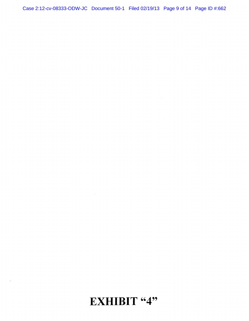Case 2:12-cv-08333-ODW-JC Document 50-1 Filed 02/19/13 Page 9 of 14 Page ID #:662

# **EXHIBIT "4"**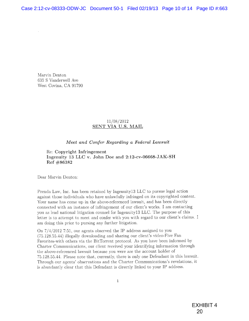Marvin Denton 635 S Vanderwell Ave West Covina, CA 91790

#### 11/08/2012 SENT VIA U.S. MAIL

#### *Meet and Confer Regarding a Federal Lawsuit*

Re: Copyright Infringement Ingenuity 13 LLC v. John Doe and 2:12-cv-06668-JAK-SH Ref #86382

Dear Marvin Denton:

Prenda Law. Inc. has been retained by Ingenuity 13 LLC to pursue legal action against those individuals who have unlawfully infringed on its copyrighted content. Your name has come up in the above-referenced lawsuit, and has been directly connected with an instance of infringement of our client's works. I am contacting you as lead national litigation counsel for Ingenuityl3 LLC. The purpose of this letter is to attempt to meet and confer with you with regard to our client's claims. I am doing this prior to pursing any further litigation.

On 7/4/2012 7:51, our agents observed the IP address assigned to you (75.128.55.44) illegally downloading and sharing our client's video-Five Fan Favorites-with others via the BitTorrent protocol. As you have been informed by Charter Communications, our client received your identifying information through the above-referenced lawsuit because you were are the account holder of 75.128.55.44. Please note that, currently, there is only one Defendant in this lawsuit. Through our agents' observations and the Charter Communications's revelations, it is abundantly clear that this Defendant is directly linked to your IP address.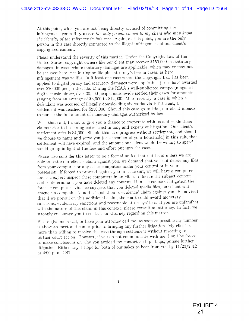At this point, while you are not being directly accused of committing the infringement yourself, you are the only person known to my client who may know *the identity of the infringer in this case.* Again, at this point, you are the only person in this case directly connected to the illegal infringement of our client's copyrighted content.

Please understand the severity of this matter. Under the Copyright Law of the United States, copyright owners like our client may recover \$150,000 in statutory damages (in cases where statutory damages are applicable, which may or may not be the case here) per infringing file plus attorney's fees in cases, as here, infringement was willful. In it least one case where the Copyright Law has been applied to digital piracy and statutory damages were applicable, juries have awarded over \$20,000 per pirated file. During the PJAA's well-publicized campaign against digital music piracy, over 30,000 people nationwide settled their cases for amounts ranging from an average of \$3,000 to \$12,000. More recently, a case in which a defendant was accused of illegally downloading six works via BitTorrent, a settlement was reached for \$250,000. Should this case go to trial, our client intends to pursue the full amount of monetary damages authorized by law.

With that said, I want to give you a chance to cooperate with us and settle these claims prior to becoming entrenched in long and expensive litigation. Our client's settlement offer is \$4,000. Should this case progress without settlement, and should we choose to name and serve you (or a member of your household) in this suit, that settlement will have expired, and the amount our client would be willing to spend would go up in light of the fees and effort put into the case.

Please also consider this letter to be a formal notice that until and unless we are able to settle our client's claim against you, we demand that you not delete any files from your computer or any other computers under your control or in your possession. If forced to proceed against you in a lawsuit, we will have a computer forensic expert inspect these computers in an effort to locate the subject content and to determine if you have deleted any content. If in the course of litigation the forensic computer evidence suggests that you deleted media files, our client will amend its complaint to add a "spoliation of evidence" claim against you. Be advised that if we prevail on this additional claim, the court could award monetary sanctions, evidentiary sanctions and reasonable attorneys' fees. If you are unfamiliar with the nature of this claim in this context, please consult an attorney. In fact, we strongly encourage you to contact an attorney regarding this matter.

Please give me a call, or have your attorney call me, as soon as possible-my number is above-to meet and confer prior to bringing any further litigation. My client is more than willing to resolve this case through settlement without resorting to further court action. However, if you do not communicate with me, I will be forced to make conclusions on why you avoided my contact and, perhaps, pursue further litigation. Either way, I hope for both of our sakes to hear from you by 11/23/2012 at 4:00 p.m. CST.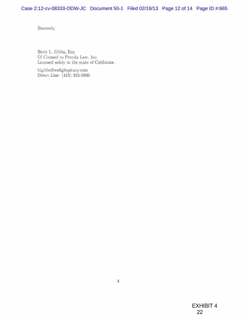Sincerely,

Brett L, Gibbs, Esq Of Counsel to Prenda Law, Inc. Licensed solely in the state of California.

blgibbs@wefightpiracy.com Direct Line: (415) 325-5900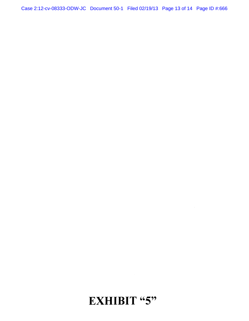# EXHIBIT "5"

 $\bar{\mathbf{r}}$ 

Case 2:12-cv-08333-ODW-JC Document 50-1 Filed 02/19/13 Page 13 of 14 Page ID #:666